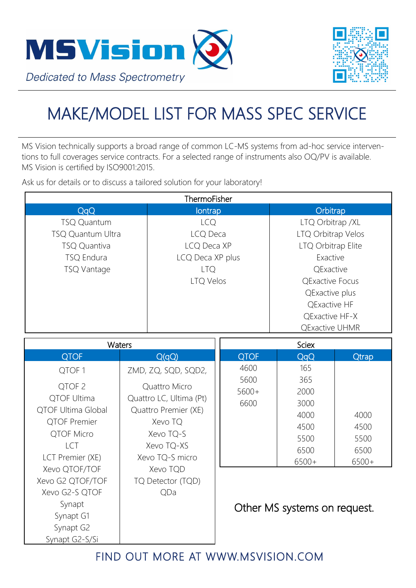



## MAKE/MODEL LIST FOR MASS SPEC SERVICE

MS Vision technically supports a broad range of common LC-MS systems from ad-hoc service interventions to full coverages service contracts. For a selected range of instruments also OQ/PV is available. MS Vision is certified by ISO9001:2015.

Ask us for details or to discuss a tailored solution for your laboratory!

| ThermoFisher              |                                                                 |                  |                         |                              |              |  |  |
|---------------------------|-----------------------------------------------------------------|------------------|-------------------------|------------------------------|--------------|--|--|
| QqQ                       |                                                                 | lontrap          |                         | Orbitrap                     |              |  |  |
| <b>TSQ Quantum</b>        |                                                                 | <b>LCQ</b>       |                         | LTQ Orbitrap /XL             |              |  |  |
| TSQ Quantum Ultra         |                                                                 | LCQ Deca         |                         | LTQ Orbitrap Velos           |              |  |  |
| TSQ Quantiva              |                                                                 | LCQ Deca XP      |                         | LTQ Orbitrap Elite           |              |  |  |
| TSQ Endura                |                                                                 | LCQ Deca XP plus |                         | Exactive                     |              |  |  |
| TSQ Vantage               |                                                                 | <b>LTQ</b>       |                         | <b>QExactive</b>             |              |  |  |
|                           |                                                                 | <b>LTQ Velos</b> |                         | <b>QExactive Focus</b>       |              |  |  |
|                           |                                                                 |                  |                         | QExactive plus               |              |  |  |
|                           |                                                                 |                  |                         | QExactive HF                 |              |  |  |
|                           |                                                                 |                  |                         | QExactive HF-X               |              |  |  |
|                           |                                                                 |                  |                         | <b>QExactive UHMR</b>        |              |  |  |
| Waters                    |                                                                 |                  |                         |                              | <b>Sciex</b> |  |  |
| <b>QTOF</b>               |                                                                 | Q(qQ)            | <b>QTOF</b>             | QqQ                          | <b>Qtrap</b> |  |  |
| QTOF <sub>1</sub>         | ZMD, ZQ, SQD, SQD2,<br>Quattro Micro<br>Quattro LC, Ultima (Pt) |                  | 4600<br>5600<br>$5600+$ | 165                          |              |  |  |
| QTOF <sub>2</sub>         |                                                                 |                  |                         | 365                          |              |  |  |
| QTOF Ultima               |                                                                 |                  |                         | 2000                         |              |  |  |
| <b>QTOF Ultima Global</b> | Quattro Premier (XE)                                            |                  | 6600                    | 3000                         |              |  |  |
| <b>QTOF Premier</b>       | Xevo TQ                                                         |                  |                         | 4000                         | 4000         |  |  |
| QTOF Micro                | Xevo TQ-S                                                       |                  |                         | 4500                         | 4500         |  |  |
| LCT                       | Xevo TQ-XS                                                      |                  |                         | 5500                         | 5500         |  |  |
| LCT Premier (XE)          | Xevo TQ-S micro                                                 |                  |                         | 6500                         | 6500         |  |  |
| Xevo QTOF/TOF             |                                                                 | Xevo TQD         |                         | $6500+$                      | 6500+        |  |  |
| Xevo G2 QTOF/TOF          | TQ Detector (TQD)                                               |                  |                         |                              |              |  |  |
| Xevo G2-S QTOF            |                                                                 | QDa              |                         |                              |              |  |  |
| Synapt                    |                                                                 |                  |                         | Other MS systems on request. |              |  |  |
| Synapt G1                 |                                                                 |                  |                         |                              |              |  |  |
| Synapt G2                 |                                                                 |                  |                         |                              |              |  |  |
| Synapt G2-S/Si            |                                                                 |                  |                         |                              |              |  |  |

FIND OUT MORE AT WWW.MSVISION.COM